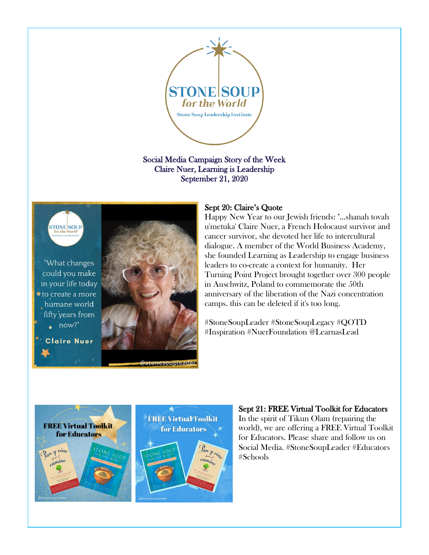

Social Media Campaign Story of the Week Claire Nuer, Learning is Leadership September 21, 2020



"What changes could you make in your life today to create a more humane world fifty years from  $\star$  now?"

**Claire Nuer** 



### Sept 20: Claire's Quote

Happy New Year to our Jewish friends: "...shanah tovah u'metuka' Claire Nuer, a French Holocaust survivor and cancer survivor, she devoted her life to intercultural dialogue. A member of the World Business Academy, she founded Learning as Leadership to engage business leaders to co-create a context for humanity. Her Turning Point Project brought together over 300 people in Auschwitz, Poland to commemorate the 50th anniversary of the liberation of the Nazi concentration camps. this can be deleted if it's too long.

#StoneSoupLeader #StoneSoupLegacy #QOTD #Inspiration #NuerFoundation @LearnasLead





Sept 21: FREE Virtual Toolkit for Educators In the spirit of Tikun Olam (repairing the world), we are offering a FREE Virtual Toolkit for Educators. Please share and follow us on Social Media. #StoneSoupLeader #Educators #Schools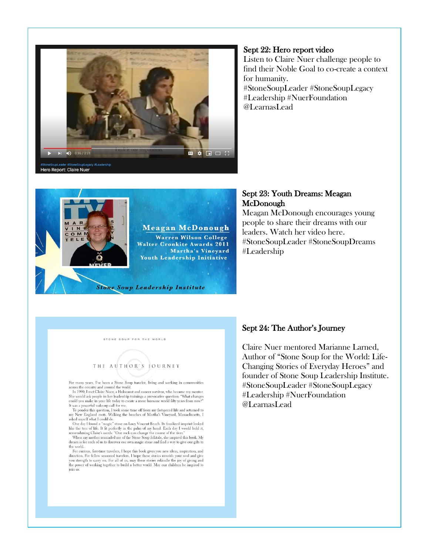

#### Sept 22: Hero report video

Listen to Claire Nuer challenge people to find their Noble Goal to co-create a context for humanity. #StoneSoupLeader #StoneSoupLegacy #Leadership #NuerFoundation @LearnasLead



#### Sept 23: Youth Dreams: Meagan McDonough

Meagan McDonough encourages young people to share their dreams with our leaders. Watch her video here. #StoneSoupLeader #StoneSoupDreams #Leadership

STONE SOUP FOR THE WORLD



For many years, I've been a Stone Soup traveler, living and working in communities across the country and around the world.

actos uncounty and about the volume of the books.<br>The D90, I met Claire Nuer, a Holocaust and cancer survivor, who became my mentor.<br>She would ask people in her leadership trainings a provocative question: "What changes<br>co

It was a powerful wake-up call for me.<br>
It was aported with the substituted by my fast-paced life and returned to<br>
To ponder this question, I took some time off from my fast-paced life and returned to<br>
my New England roots

the world.

For curious, first-time travelers, I hope this book gives you new ideas, inspiration, and For curous, inst-une travelens, I nope uns book gives you new toesa, inspiration, and give direction. For fellow seasoned travelers, I hope these stories nourish your soul and give you strength to carry on. For all of us, join us.

## Sept 24: The Author's Journey

Claire Nuer mentored Marianne Larned, Author of "Stone Soup for the World: Life-Changing Stories of Everyday Heroes" and founder of Stone Soup Leadership Institute. #StoneSoupLeader #StoneSoupLegacy #Leadership #NuerFoundation @LearnasLead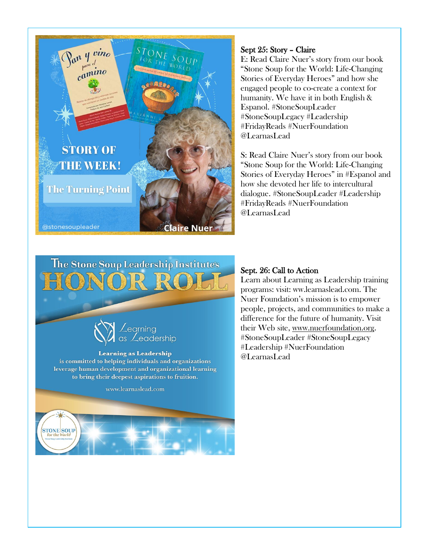

### Sept 25: Story – Claire

E: Read Claire Nuer's story from our book "Stone Soup for the World: Life-Changing Stories of Everyday Heroes" and how she engaged people to co-create a context for humanity. We have it in both English & Espanol. #StoneSoupLeader #StoneSoupLegacy #Leadership #FridayReads #NuerFoundation @LearnasLead

S: Read Claire Nuer's story from our book "Stone Soup for the World: Life-Changing Stories of Everyday Heroes" in #Espanol and how she devoted her life to intercultural dialogue. #StoneSoupLeader #Leadership #FridayReads #NuerFoundation @LearnasLead





### Sept. 26: Call to Action

Learn about Learning as Leadership training programs: visit: ww.learnaslead.com. The Nuer Foundation's mission is to empower people, projects, and communities to make a difference for the future of humanity. Visit their Web site, [www.nuerfoundation.org.](http://www.nuerfoundation.org/) #StoneSoupLeader #StoneSoupLegacy #Leadership #NuerFoundation @LearnasLead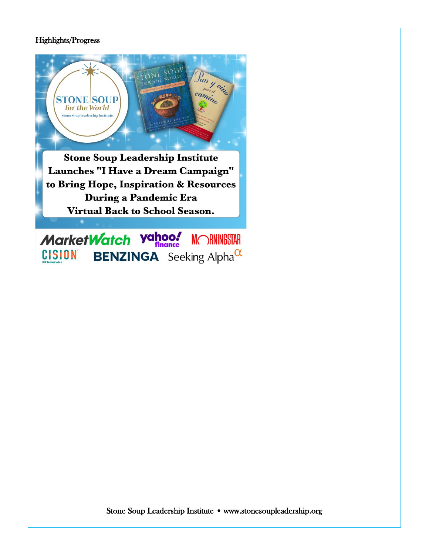# Highlights/Progress



**Stone Soup Leadership Institute** Launches "I Have a Dream Campaign" to Bring Hope, Inspiration & Resources During a Pandemic Era **Virtual Back to School Season.** 

MarketWatch yahoo! **MORNINGSTAR CISION BENZINGA** Seeking Alpha $\alpha$ 

Stone Soup Leadership Institute • www.stonesoupleadership.org